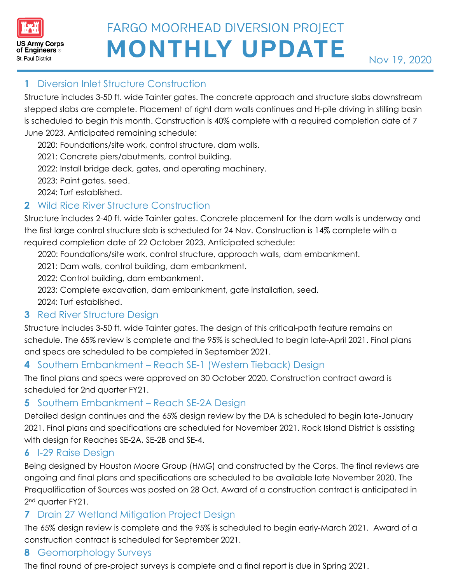

# **FARGO MOORHEAD DIVERSION PROJECT MONTHLY UPDATE**

# **1** Diversion Inlet Structure Construction

Structure includes 3-50 ft. wide Tainter gates. The concrete approach and structure slabs downstream stepped slabs are complete. Placement of right dam walls continues and H-pile driving in stilling basin is scheduled to begin this month. Construction is 40% complete with a required completion date of 7 June 2023. Anticipated remaining schedule:

2020: Foundations/site work, control structure, dam walls.

2021: Concrete piers/abutments, control building.

2022: Install bridge deck, gates, and operating machinery.

2023: Paint gates, seed.

2024: Turf established.

## **2** Wild Rice River Structure Construction

Structure includes 2-40 ft. wide Tainter gates. Concrete placement for the dam walls is underway and the first large control structure slab is scheduled for 24 Nov. Construction is 14% complete with a required completion date of 22 October 2023. Anticipated schedule:

- 2020: Foundations/site work, control structure, approach walls, dam embankment.
- 2021: Dam walls, control building, dam embankment.
- 2022: Control building, dam embankment.
- 2023: Complete excavation, dam embankment, gate installation, seed.

2024: Turf established.

## **3** Red River Structure Design

Structure includes 3-50 ft. wide Tainter gates. The design of this critical-path feature remains on schedule. The 65% review is complete and the 95% is scheduled to begin late-April 2021. Final plans and specs are scheduled to be completed in September 2021.

## **4** Southern Embankment – Reach SE-1 (Western Tieback) Design

The final plans and specs were approved on 30 October 2020. Construction contract award is scheduled for 2nd quarter FY21.

#### **5** Southern Embankment – Reach SE-2A Design

Detailed design continues and the 65% design review by the DA is scheduled to begin late-January 2021. Final plans and specifications are scheduled for November 2021. Rock Island District is assisting with design for Reaches SE-2A, SE-2B and SE-4.

## **6** I-29 Raise Design

Being designed by Houston Moore Group (HMG) and constructed by the Corps. The final reviews are ongoing and final plans and specifications are scheduled to be available late November 2020. The Prequalification of Sources was posted on 28 Oct. Award of a construction contract is anticipated in 2<sup>nd</sup> quarter FY21.

## **7** Drain 27 Wetland Mitigation Project Design

1 OF 21 construction contract is scheduled for September 2021. The 65% design review is complete and the 95% is scheduled to begin early-March 2021. Award of a

#### **8** Geomorphology Surveys

The final round of pre-project surveys is complete and a final report is due in Spring 2021.